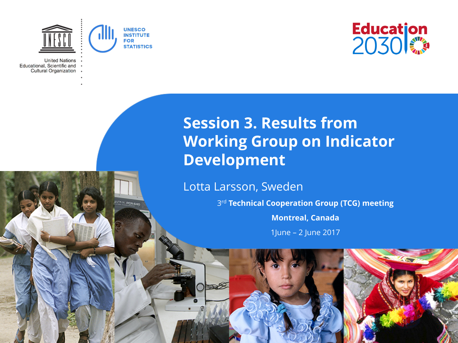

**THE POR BAY** 

**United Nations** Educational, Scientific and Cultural Organization



### **Session 3. Results from Working Group on Indicator Development**

Lotta Larsson, Sweden

3rd **Technical Cooperation Group (TCG) meeting**

**Montreal, Canada**

1June – 2 June 2017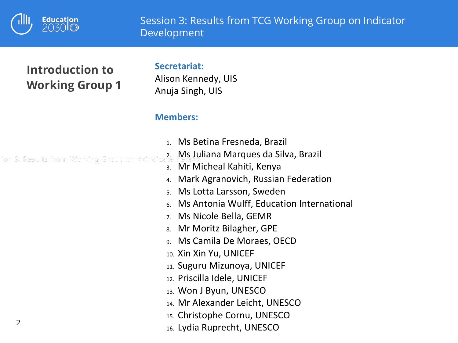

#### **Introduction to Working Group 1**

#### **Secretariat:**

Alison Kennedy, UIS Anuja Singh, UIS

#### **Members:**

- 1. Ms Betina Fresneda, Brazil
- 2. Ms Juliana Marques da Silva, Brazil ion 3. Results from Working Group on «<ir
	- 3. Mr Micheal Kahiti, Kenya
	- 4. Mark Agranovich, Russian Federation
	- 5. Ms Lotta Larsson, Sweden
	- 6. Ms Antonia Wulff, Education International
	- 7. Ms Nicole Bella, GEMR
	- 8. Mr Moritz Bilagher, GPE
	- 9. Ms Camila De Moraes, OECD
	- 10. Xin Xin Yu, UNICEF
	- 11. Suguru Mizunoya, UNICEF
	- 12. Priscilla Idele, UNICEF
	- 13. Won J Byun, UNESCO
	- 14. Mr Alexander Leicht, UNESCO
	- 15. Christophe Cornu, UNESCO
	- 16. Lydia Ruprecht, UNESCO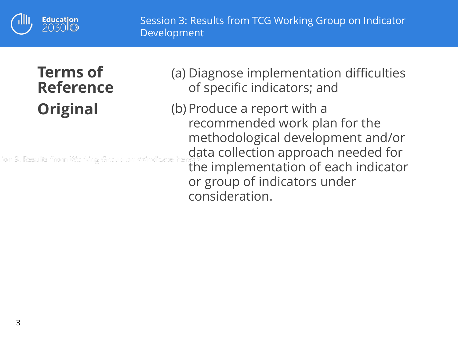

### **Terms of Reference Original**

ion 3. Results from Working Group on

(a) Diagnose implementation difficulties of specific indicators; and

(b) Produce a report with a recommended work plan for the methodological development and/or data collection approach needed for the implementation of each indicator or group of indicators under consideration.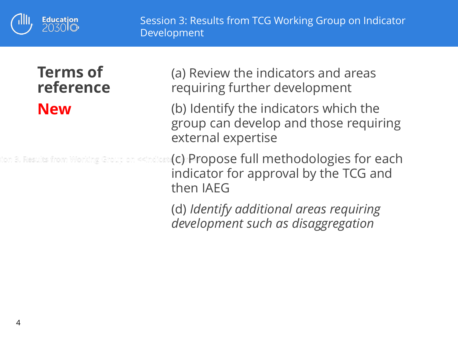

### **Terms of reference New**

(a) Review the indicators and areas requiring further development

(b) Identify the indicators which the group can develop and those requiring external expertise

fon 3. Results from Working Group on «<indicate(C) <code>Propose full methodologies for each</code> indicator for approval by the TCG and then IAEG

> (d) *Identify additional areas requiring development such as disaggregation*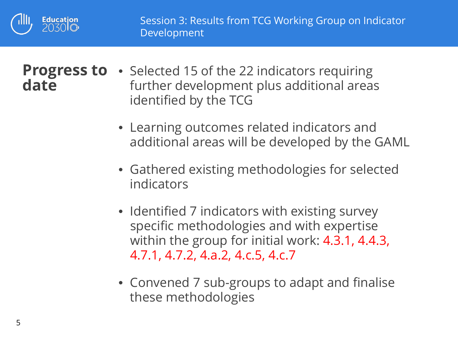

# **date**

- Progress to Selected 15 of the 22 indicators requiring further development plus additional areas identified by the TCG
	- Learning outcomes related indicators and additional areas will be developed by the GAML
	- Gathered existing methodologies for selected indicators
	- Identified 7 indicators with existing survey specific methodologies and with expertise within the group for initial work: 4.3.1, 4.4.3, 4.7.1, 4.7.2, 4.a.2, 4.c.5, 4.c.7
	- Convened 7 sub-groups to adapt and finalise these methodologies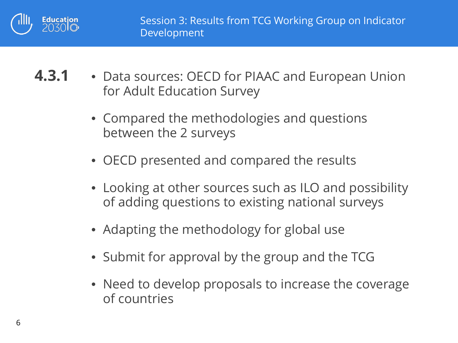

**4.3.1** • Data sources: OECD for PIAAC and European Union for Adult Education Survey

- Compared the methodologies and questions between the 2 surveys
- OECD presented and compared the results
- Looking at other sources such as ILO and possibility of adding questions to existing national surveys
- Adapting the methodology for global use
- Submit for approval by the group and the TCG
- Need to develop proposals to increase the coverage of countries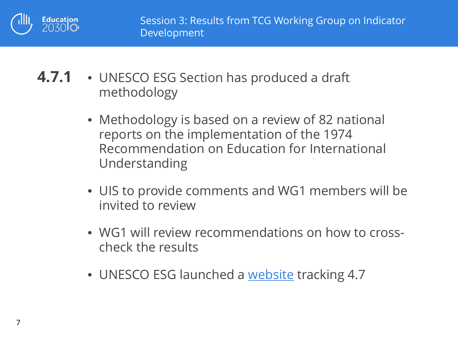

- **4.7.1** UNESCO ESG Section has produced a draft methodology
	- Methodology is based on a review of 82 national reports on the implementation of the 1974 Recommendation on Education for International Understanding
	- UIS to provide comments and WG1 members will be invited to review
	- WG1 will review recommendations on how to crosscheck the results
	- UNESCO ESG launched a [website](http://en.unesco.org/gced) tracking 4.7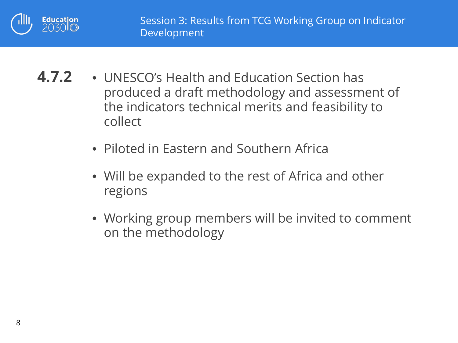

- **4.7.2** UNESCO's Health and Education Section has produced a draft methodology and assessment of the indicators technical merits and feasibility to collect
	- Piloted in Eastern and Southern Africa
	- Will be expanded to the rest of Africa and other regions
	- Working group members will be invited to comment on the methodology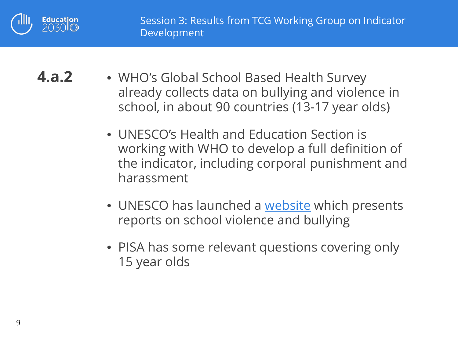

**4.a.2** • WHO's Global School Based Health Survey already collects data on bullying and violence in school, in about 90 countries (13-17 year olds)

- UNESCO's Health and Education Section is working with WHO to develop a full definition of the indicator, including corporal punishment and harassment
- UNESCO has launched a [website](http://en.unesco.org/themes/school-violence-and-bullying) which presents reports on school violence and bullying
- PISA has some relevant questions covering only 15 year olds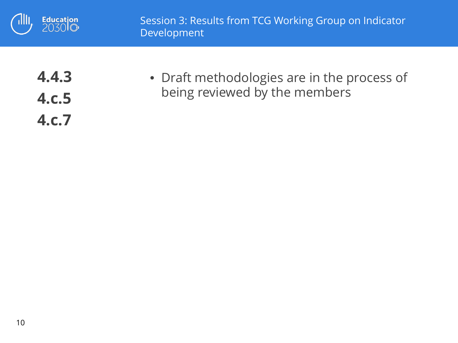

**4.4.3 4.c.5 4.c.7**

• Draft methodologies are in the process of being reviewed by the members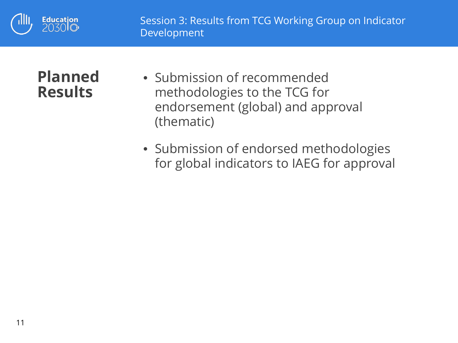

### **Planned Results**

- Submission of recommended methodologies to the TCG for endorsement (global) and approval (thematic)
- Submission of endorsed methodologies for global indicators to IAEG for approval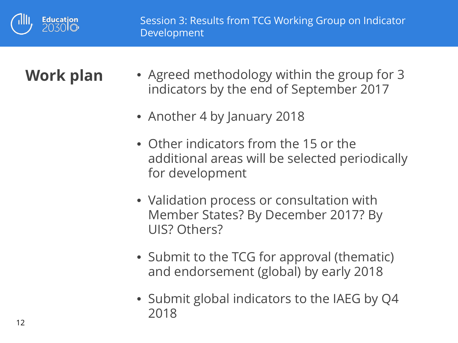

- **Work plan** Agreed methodology within the group for 3 indicators by the end of September 2017
	- Another 4 by January 2018
	- Other indicators from the 15 or the additional areas will be selected periodically for development
	- Validation process or consultation with Member States? By December 2017? By UIS? Others?
	- Submit to the TCG for approval (thematic) and endorsement (global) by early 2018
	- Submit global indicators to the IAEG by Q4 2018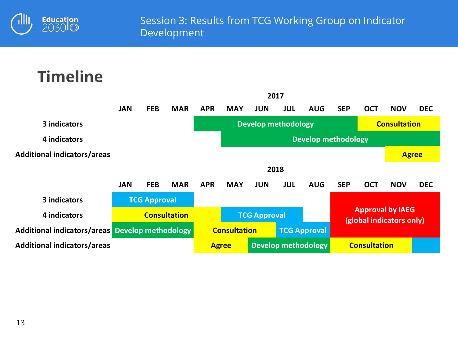

# **Timeline**

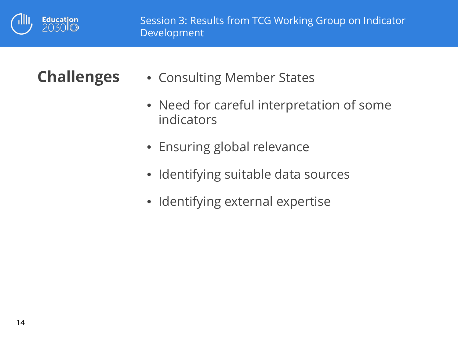

- **Challenges** Consulting Member States
	- Need for careful interpretation of some indicators
	- Ensuring global relevance
	- Identifying suitable data sources
	- Identifying external expertise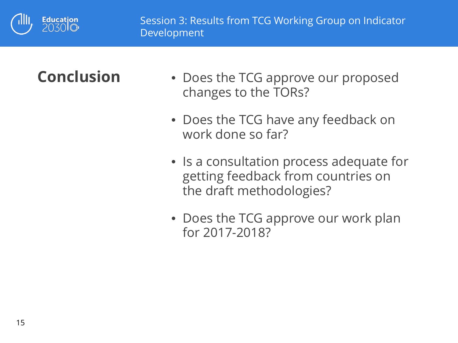

- **Conclusion** Does the TCG approve our proposed changes to the TORs?
	- Does the TCG have any feedback on work done so far?
	- Is a consultation process adequate for getting feedback from countries on the draft methodologies?
	- Does the TCG approve our work plan for 2017-2018?